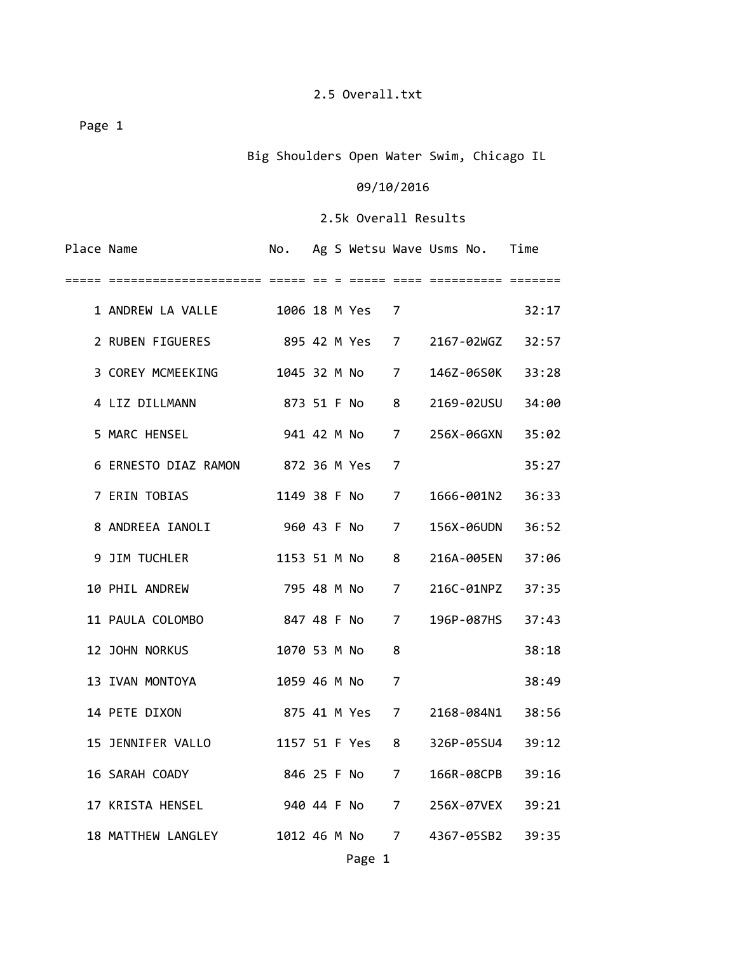Big Shoulders Open Water Swim, Chicago IL

#### 09/10/2016

| Place Name |                                   |                |  |                 |   | No. Ag S Wetsu Wave Usms No. Time |       |
|------------|-----------------------------------|----------------|--|-----------------|---|-----------------------------------|-------|
|            |                                   |                |  |                 |   |                                   |       |
|            | 1 ANDREW LA VALLE                 |                |  | 1006 18 M Yes 7 |   |                                   | 32:17 |
|            | 2 RUBEN FIGUERES                  |                |  |                 |   | 895 42 M Yes 7 2167-02WGZ 32:57   |       |
|            | 3 COREY MCMEEKING                 |                |  | 1045 32 M No 7  |   | 146Z-06S0K                        | 33:28 |
|            | 4 LIZ DILLMANN                    | 873 51 F No 8  |  |                 |   | 2169-02USU                        | 34:00 |
|            | 5 MARC HENSEL                     |                |  | 941 42 M No 7   |   | 256X-06GXN                        | 35:02 |
|            | 6 ERNESTO DIAZ RAMON 872 36 M Yes |                |  |                 | 7 |                                   | 35:27 |
|            | 7 ERIN TOBIAS                     |                |  | 1149 38 F No 7  |   | 1666-001N2                        | 36:33 |
|            | 8 ANDREEA IANOLI                  | 960 43 F No 7  |  |                 |   | 156X-06UDN                        | 36:52 |
|            | 9 JIM TUCHLER                     |                |  | 1153 51 M No 8  |   | 216A-005EN                        | 37:06 |
|            | 10 PHIL ANDREW                    | 795 48 M No 7  |  |                 |   | 216C-01NPZ                        | 37:35 |
|            | 11 PAULA COLOMBO                  | 847 48 F No 7  |  |                 |   | 196P-087HS                        | 37:43 |
|            | 12 JOHN NORKUS                    | 1070 53 M No   |  |                 | 8 |                                   | 38:18 |
|            | 13 IVAN MONTOYA                   |                |  | 1059 46 M No    | 7 |                                   | 38:49 |
|            | 14 PETE DIXON                     | 875 41 M Yes 7 |  |                 |   | 2168-084N1                        | 38:56 |
|            | 15 JENNIFER VALLO                 |                |  | 1157 51 F Yes   | 8 | 326P-05SU4                        | 39:12 |
|            | 16 SARAH COADY                    |                |  | 846 25 F No 7   |   | 166R-08CPB                        | 39:16 |
|            | 17 KRISTA HENSEL                  |                |  | 940 44 F No 7   |   | 256X-07VEX 39:21                  |       |
|            | 18 MATTHEW LANGLEY                |                |  |                 |   | 1012 46 M No 7 4367-05SB2         | 39:35 |
|            |                                   |                |  | Page 1          |   |                                   |       |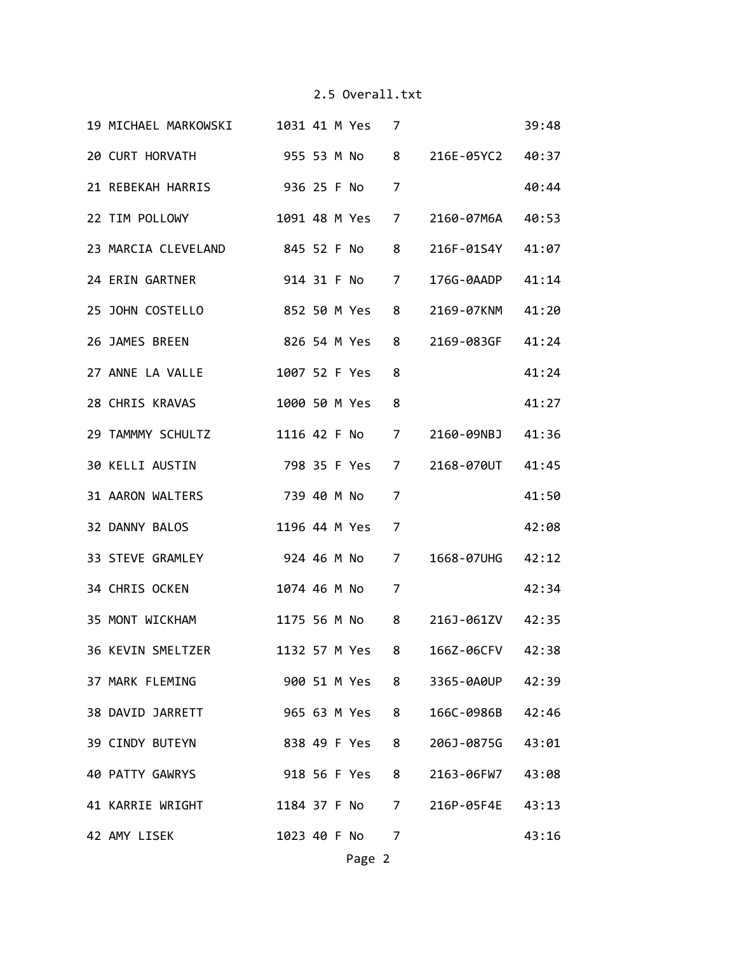| 19 MICHAEL MARKOWSKI 1031 41 M Yes 7 |  |                |                |                                  | 39:48 |
|--------------------------------------|--|----------------|----------------|----------------------------------|-------|
| 20 CURT HORVATH 955 53 M No 8        |  |                |                | 216E-05YC2 40:37                 |       |
| 21 REBEKAH HARRIS 936 25 F No        |  |                | 7              |                                  | 40:44 |
| 22 TIM POLLOWY 1091 48 M Yes         |  |                | 7              | 2160-07M6A                       | 40:53 |
| 23 MARCIA CLEVELAND 845 52 F No      |  |                | 8              | 216F-01S4Y                       | 41:07 |
| 24 ERIN GARTNER 914 31 F No          |  |                | $\overline{7}$ | 176G-0AADP 41:14                 |       |
| 25 JOHN COSTELLO<br>852 50 M Yes     |  |                | 8              | 2169-07KNM 41:20                 |       |
| 26 JAMES BREEN<br>826 54 M Yes 8     |  |                |                | 2169-083GF 41:24                 |       |
| 27 ANNE LA VALLE                     |  | 1007 52 F Yes  | 8              |                                  | 41:24 |
| 28 CHRIS KRAVAS                      |  | 1000 50 M Yes  | 8              |                                  | 41:27 |
| 29 TAMMMY SCHULTZ 1116 42 F No       |  |                |                | 7 2160-09NBJ 41:36               |       |
| 30 KELLI AUSTIN 798 35 F Yes         |  |                | 7              | 2168-070UT 41:45                 |       |
| 739 40 M No<br>31 AARON WALTERS      |  |                | 7              |                                  | 41:50 |
| 32 DANNY BALOS                       |  | 1196 44 M Yes  | $\overline{7}$ |                                  | 42:08 |
| 33 STEVE GRAMLEY 924 46 M No 7       |  |                |                | 1668-07UHG 42:12                 |       |
| 34 CHRIS OCKEN NORTH STATES          |  | 1074 46 M No   | $\overline{7}$ |                                  | 42:34 |
| 35 MONT WICKHAM                      |  |                |                | 1175 56 M No 8 216J-061ZV 42:35  |       |
| 36 KEVIN SMELTZER                    |  |                |                | 1132 57 M Yes 8 166Z-06CFV 42:38 |       |
| 37 MARK FLEMING                      |  |                |                | 900 51 M Yes 8 3365-0A0UP 42:39  |       |
| 38 DAVID JARRETT                     |  | 965 63 M Yes 8 |                | 166C-0986B 42:46                 |       |
| 39 CINDY BUTEYN                      |  | 838 49 F Yes   | 8              | 206J-0875G                       | 43:01 |
| 40 PATTY GAWRYS                      |  | 918 56 F Yes   | 8              | 2163-06FW7                       | 43:08 |
| 41 KARRIE WRIGHT                     |  |                |                | 1184 37 F No 7 216P-05F4E 43:13  |       |
| 42 AMY LISEK                         |  | 1023 40 F No   | 7              |                                  | 43:16 |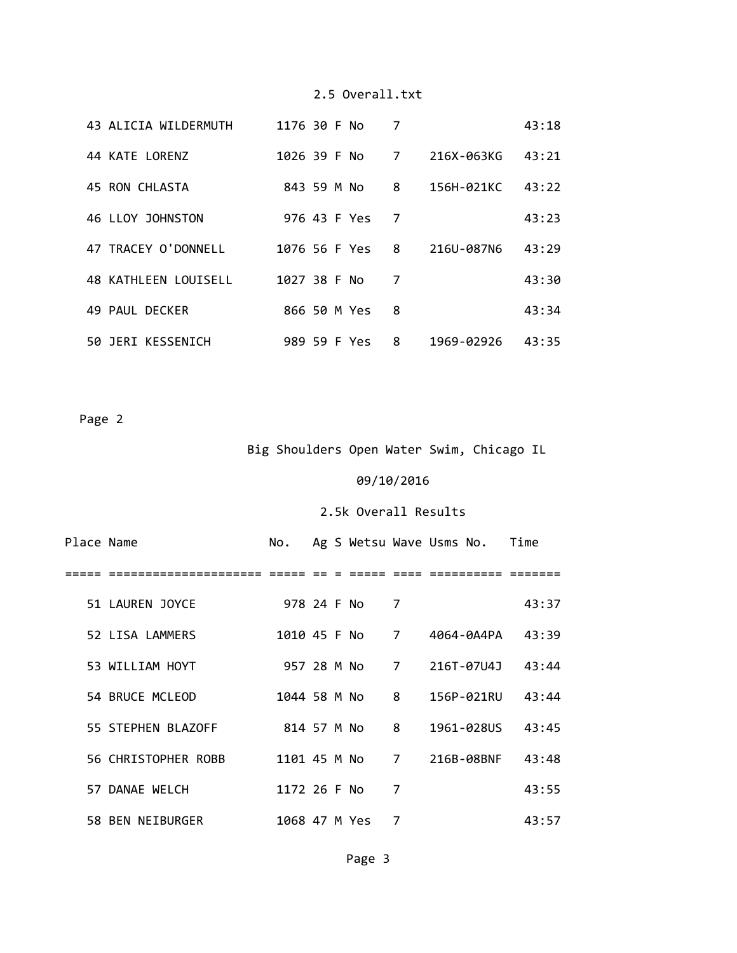| 43 ALICIA WILDERMUTH        | 1176 30 F No  |  |              | 7 |            | 43:18 |
|-----------------------------|---------------|--|--------------|---|------------|-------|
| 44 KATE LORENZ              | 1026 39 F No  |  |              | 7 | 216X-063KG | 43:21 |
| 45 RON CHLASTA              | 843 59 M No   |  |              | 8 | 156H-021KC | 43:22 |
| 46 LLOY JOHNSTON            |               |  | 976 43 F Yes | 7 |            | 43:23 |
| 47 TRACEY O'DONNELL         | 1076 56 F Yes |  |              | 8 | 216U-087N6 | 43:29 |
| <b>48 KATHLEEN LOUISELL</b> | 1027 38 F No  |  |              | 7 |            | 43:30 |
| 49 PAUL DECKER              |               |  | 866 50 M Yes | 8 |            | 43:34 |
| 50 JERI KESSENICH           |               |  | 989 59 F Yes | 8 | 1969-02926 | 43:35 |

Page 2

# Big Shoulders Open Water Swim, Chicago IL

# 09/10/2016

| Place Name |                     | No.           |  |              |   | Ag S Wetsu Wave Usms No. | Time  |
|------------|---------------------|---------------|--|--------------|---|--------------------------|-------|
|            |                     |               |  |              |   |                          |       |
|            | 51 LAUREN JOYCE     | 978 24 F No   |  |              | 7 |                          | 43:37 |
|            | 52 LISA LAMMERS     |               |  | 1010 45 F No | 7 | 4064-0A4PA               | 43:39 |
|            | 53 WILLIAM HOYT     | 957 28 M No   |  |              |   | 7 216T-07U4J             | 43:44 |
|            | 54 BRUCE MCLEOD     | 1044 58 M No  |  |              | 8 | 156P-021RU               | 43:44 |
|            | 55 STEPHEN BLAZOFF  | 814 57 M No   |  |              | 8 | 1961-028US               | 43:45 |
|            | 56 CHRISTOPHER ROBB | 1101 45 M No  |  |              | 7 | 216B-08BNF               | 43:48 |
|            | 57 DANAE WELCH      | 1172 26 F No  |  |              | 7 |                          | 43:55 |
|            | 58 BEN NEIBURGER    | 1068 47 M Yes |  |              | 7 |                          | 43:57 |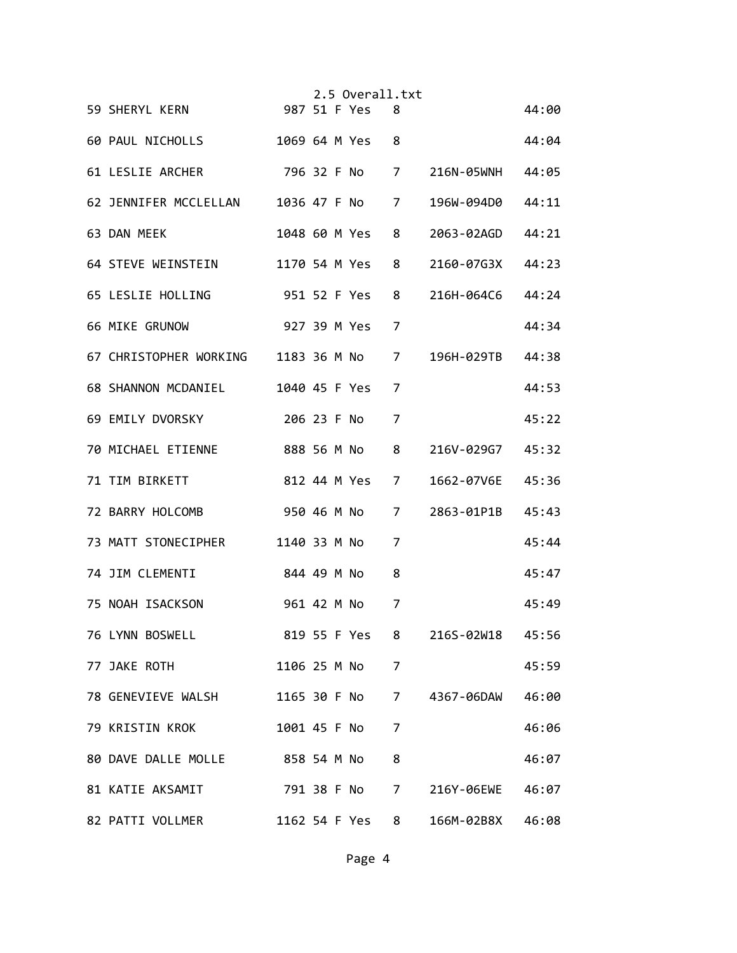| 59 SHERYL KERN                        |              |             | 2.5 Overall.txt<br>987 51 F Yes | 8 |                  | 44:00 |
|---------------------------------------|--------------|-------------|---------------------------------|---|------------------|-------|
| 60 PAUL NICHOLLS 1069 64 M Yes        |              |             |                                 | 8 |                  |       |
|                                       |              |             |                                 |   |                  | 44:04 |
| 61 LESLIE ARCHER                      |              |             | 796 32 F No 7                   |   | 216N-05WNH 44:05 |       |
| 62 JENNIFER MCCLELLAN 1036 47 F No 7  |              |             |                                 |   | 196W-094D0       | 44:11 |
| 63 DAN MEEK                           |              |             | 1048 60 M Yes                   | 8 | 2063-02AGD       | 44:21 |
| 64 STEVE WEINSTEIN 1170 54 M Yes      |              |             |                                 | 8 | 2160-07G3X       | 44:23 |
| 65 LESLIE HOLLING                     | 951 52 F Yes |             |                                 | 8 | 216H-064C6       | 44:24 |
| <b>66 MIKE GRUNOW</b>                 |              |             | 927 39 M Yes                    | 7 |                  | 44:34 |
| 67 CHRISTOPHER WORKING 1183 36 M No 7 |              |             |                                 |   | 196H-029TB 44:38 |       |
| 68 SHANNON MCDANIEL                   |              |             | 1040 45 F Yes                   | 7 |                  | 44:53 |
| 69 EMILY DVORSKY                      |              | 206 23 F No |                                 | 7 |                  | 45:22 |
| 70 MICHAEL ETIENNE                    | 888 56 M No  |             |                                 | 8 | 216V-029G7       | 45:32 |
| 71 TIM BIRKETT                        |              |             | 812 44 M Yes                    | 7 | 1662-07V6E       | 45:36 |
| 72 BARRY HOLCOMB                      |              |             | 950 46 M No                     | 7 | 2863-01P1B       | 45:43 |
| 73 MATT STONECIPHER 1140 33 M No      |              |             |                                 | 7 |                  | 45:44 |
| 74 JIM CLEMENTI                       | 844 49 M No  |             |                                 | 8 |                  | 45:47 |
| 75 NOAH ISACKSON                      |              | 961 42 M No |                                 | 7 |                  | 45:49 |
| 76 LYNN BOSWELL                       |              |             | 819 55 F Yes                    |   | 216S-02W18 45:56 |       |
| 77 JAKE ROTH                          |              |             | 1106 25 M No                    | 7 |                  | 45:59 |
| 78 GENEVIEVE WALSH                    |              |             | 1165 30 F No                    | 7 | 4367-06DAW       | 46:00 |
| 79 KRISTIN KROK                       |              |             | 1001 45 F No                    | 7 |                  | 46:06 |
| 80 DAVE DALLE MOLLE 858 54 M No       |              |             |                                 | 8 |                  | 46:07 |
| 81 KATIE AKSAMIT                      |              |             | 791 38 F No                     | 7 | 216Y-06EWE       | 46:07 |
| 82 PATTI VOLLMER                      |              |             | 1162 54 F Yes                   | 8 | 166M-02B8X       | 46:08 |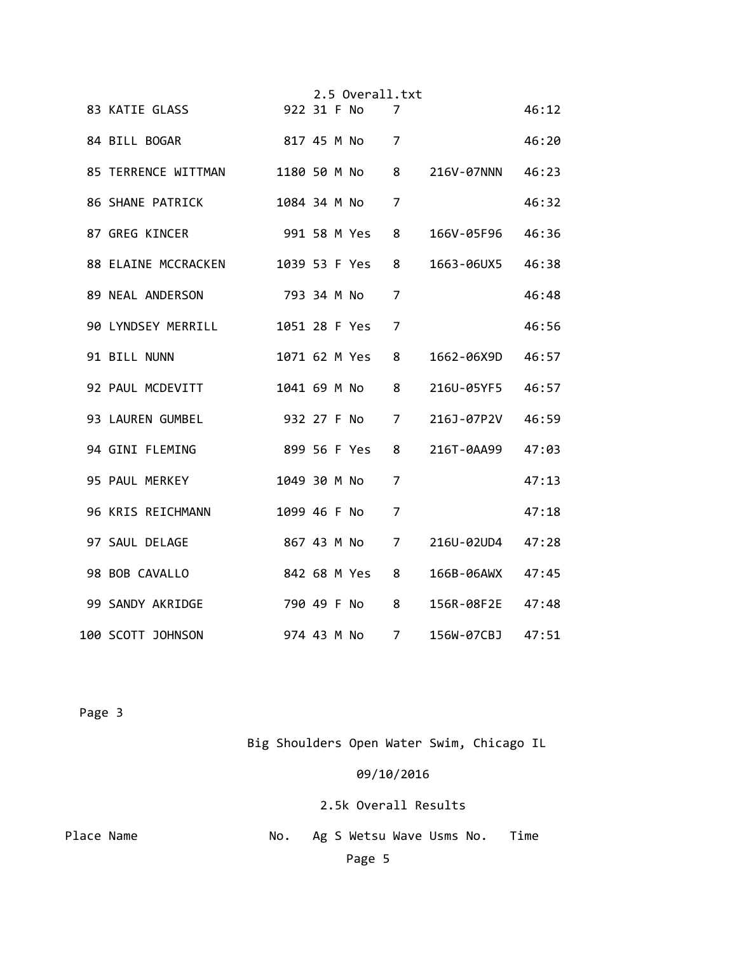|                                |               |  | 2.5 Overall.txt |                |                  |       |
|--------------------------------|---------------|--|-----------------|----------------|------------------|-------|
| 83 KATIE GLASS                 | 922 31 F No   |  |                 | 7              |                  | 46:12 |
| 84 BILL BOGAR<br>817 45 M No 7 |               |  |                 |                |                  | 46:20 |
| 85 TERRENCE WITTMAN            |               |  | 1180 50 M No 8  |                | 216V-07NNN       | 46:23 |
| 86 SHANE PATRICK               | 1084 34 M No  |  |                 | $\overline{7}$ |                  | 46:32 |
| 87 GREG KINCER                 |               |  | 991 58 M Yes    | 8              | 166V-05F96 46:36 |       |
| 88 ELAINE MCCRACKEN            |               |  | 1039 53 F Yes   | 8              | 1663-06UX5       | 46:38 |
| 89 NEAL ANDERSON               | 793 34 M No   |  |                 | 7              |                  | 46:48 |
| 90 LYNDSEY MERRILL             | 1051 28 F Yes |  |                 | 7              |                  | 46:56 |
| 91 BILL NUNN                   | 1071 62 M Yes |  |                 | 8              | 1662-06X9D       | 46:57 |
| 92 PAUL MCDEVITT               |               |  | 1041 69 M No    | 8              | 216U-05YF5       | 46:57 |
| 93 LAUREN GUMBEL               |               |  | 932 27 F No     | $\overline{7}$ | 216J-07P2V       | 46:59 |
| 94 GINI FLEMING                | 899 56 F Yes  |  |                 | 8              | 216T-0AA99       | 47:03 |
| 95 PAUL MERKEY                 | 1049 30 M No  |  |                 | 7              |                  | 47:13 |
| 96 KRIS REICHMANN              | 1099 46 F No  |  |                 | $\overline{7}$ |                  | 47:18 |
| 97 SAUL DELAGE                 |               |  | 867 43 M No 7   |                | 216U-02UD4 47:28 |       |
| 98 BOB CAVALLO                 |               |  | 842 68 M Yes    | 8              | 166B-06AWX 47:45 |       |
| 99 SANDY AKRIDGE               |               |  | 790 49 F No     | 8              | 156R-08F2E 47:48 |       |
| 100 SCOTT JOHNSON              | 974 43 M No   |  |                 | $\overline{7}$ | 156W-07CBJ       | 47:51 |

Big Shoulders Open Water Swim, Chicago IL

09/10/2016

2.5k Overall Results

Place Name **1988** No. Ag S Wetsu Wave Usms No. Time Page 5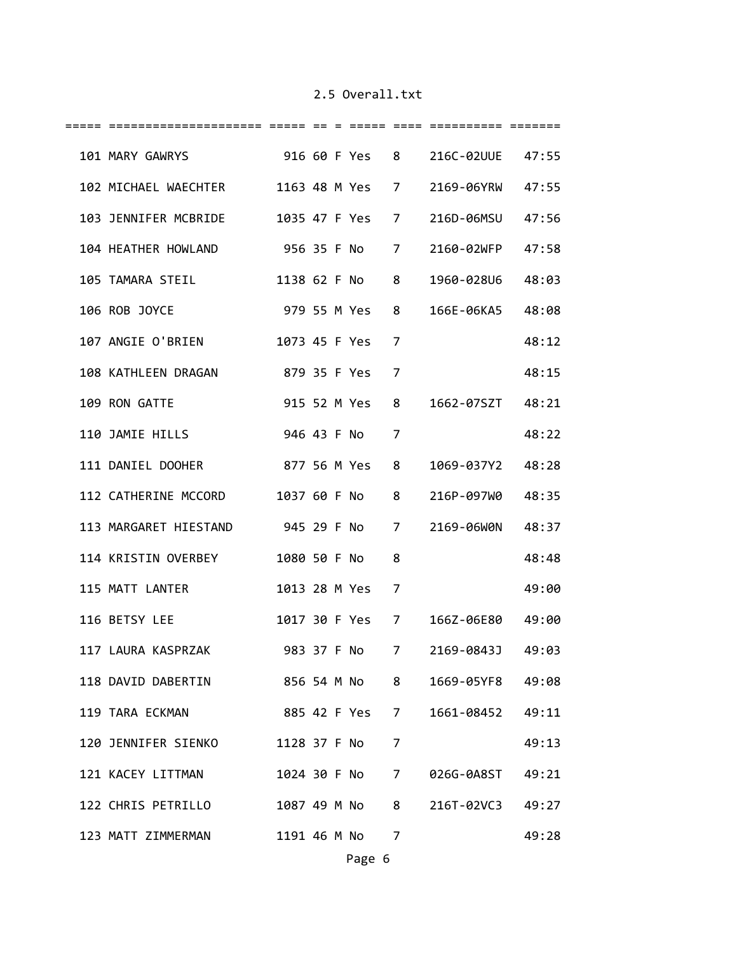| 101 MARY GAWRYS 916 60 F Yes 8 216C-02UUE 47:55 |              |  |                |   |                  |       |
|-------------------------------------------------|--------------|--|----------------|---|------------------|-------|
| 102 MICHAEL WAECHTER 1163 48 M Yes 7            |              |  |                |   | 2169-06YRW 47:55 |       |
| 103 JENNIFER MCBRIDE 1035 47 F Yes 7            |              |  |                |   | 216D-06MSU 47:56 |       |
| 104 HEATHER HOWLAND 956 35 F No 7               |              |  |                |   | 2160-02WFP       | 47:58 |
| 105 TAMARA STEIL 1138 62 F No                   |              |  |                | 8 | 1960-028U6       | 48:03 |
| 106 ROB JOYCE                                   | 979 55 M Yes |  |                | 8 | 166E-06KA5 48:08 |       |
| 107 ANGIE O'BRIEN                               |              |  | 1073 45 F Yes  | 7 |                  | 48:12 |
| 108 KATHLEEN DRAGAN 879 35 F Yes                |              |  |                | 7 |                  | 48:15 |
| 109 RON GATTE                                   |              |  | 915 52 M Yes   | 8 | 1662-07SZT 48:21 |       |
| 110 JAMIE HILLS                                 |              |  | 946 43 F No    | 7 |                  | 48:22 |
| 111 DANIEL DOOHER<br>877 56 M Yes               |              |  |                | 8 | 1069-037Y2 48:28 |       |
| 112 CATHERINE MCCORD 1037 60 F No               |              |  |                | 8 | 216P-097W0       | 48:35 |
| 113 MARGARET HIESTAND 945 29 F No               |              |  |                | 7 | 2169-06WON 48:37 |       |
| 114 KRISTIN OVERBEY 1080 50 F No                |              |  |                | 8 |                  | 48:48 |
| 115 MATT LANTER                                 |              |  | 1013 28 M Yes  | 7 |                  | 49:00 |
| 116 BETSY LEE                                   |              |  | 1017 30 F Yes  | 7 | 166Z-06E80 49:00 |       |
| 117 LAURA KASPRZAK                              | 983 37 F No  |  |                | 7 | 2169-0843J       | 49:03 |
| 118 DAVID DABERTIN 856 54 M No 8                |              |  |                |   | 1669-05YF8 49:08 |       |
| 885 42 F Yes 7<br>119 TARA ECKMAN               |              |  |                |   | 1661-08452 49:11 |       |
| 120 JENNIFER SIENKO                             |              |  | 1128 37 F No 7 |   |                  | 49:13 |
| 121 KACEY LITTMAN                               |              |  | 1024 30 F No 7 |   | 026G-0A8ST 49:21 |       |
| 122 CHRIS PETRILLO                              |              |  | 1087 49 M No 8 |   | 216T-02VC3 49:27 |       |
| 123 MATT ZIMMERMAN                              |              |  | 1191 46 M No 7 |   |                  | 49:28 |
|                                                 |              |  |                |   |                  |       |

Page 6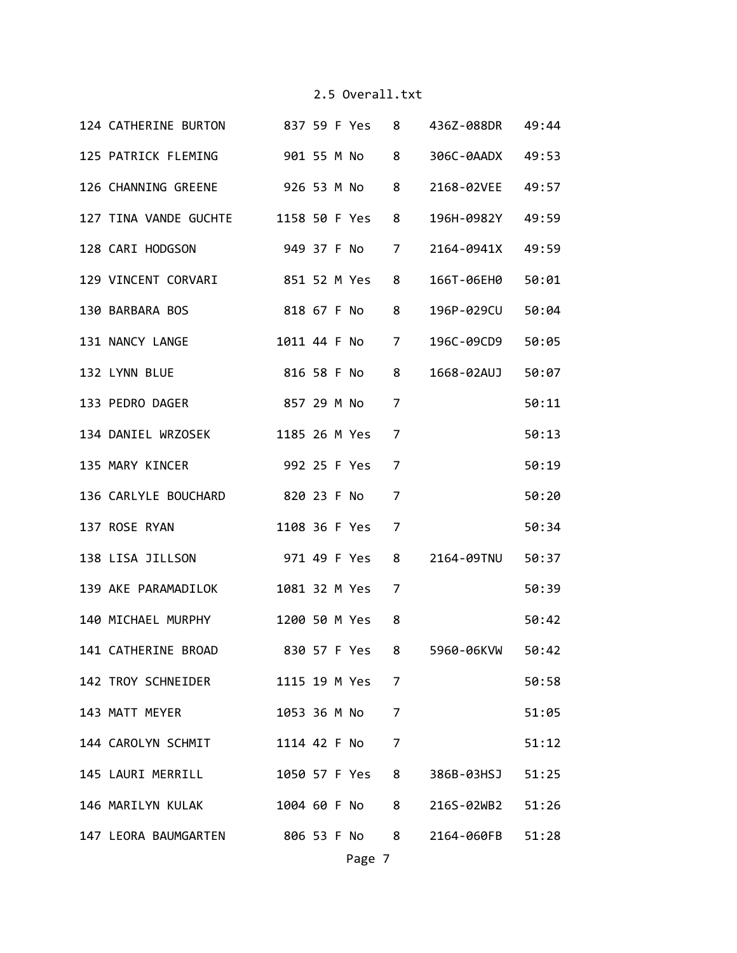| 124 CATHERINE BURTON 837 59 F Yes 8 436Z-088DR 49:44 |                                 |                |                  |       |
|------------------------------------------------------|---------------------------------|----------------|------------------|-------|
| 125 PATRICK FLEMING 901 55 M No 8                    |                                 |                | 306C-0AADX 49:53 |       |
| 126 CHANNING GREENE 926 53 M No                      |                                 | 8              | 2168-02VEE 49:57 |       |
| 127 TINA VANDE GUCHTE 1158 50 F Yes                  |                                 | 8              | 196H-0982Y       | 49:59 |
| 128 CARI HODGSON 949 37 F No                         |                                 | $\overline{7}$ | 2164-0941X       | 49:59 |
| 129 VINCENT CORVARI 851 52 M Yes                     |                                 | 8              | 166T-06EH0 50:01 |       |
| 130 BARBARA BOS                                      | 818 67 F No                     | 8              | 196P-029CU 50:04 |       |
| 131 NANCY LANGE                                      | 1011 44 F No 7                  |                | 196C-09CD9 50:05 |       |
| 132 LYNN BLUE                                        | 816 58 F No 8                   |                | 1668-02AUJ 50:07 |       |
| 133 PEDRO DAGER                                      | 857 29 M No                     | 7              |                  | 50:11 |
| 134 DANIEL WRZOSEK 1185 26 M Yes                     |                                 | 7              |                  | 50:13 |
| 135 MARY KINCER 992 25 F Yes                         |                                 | 7              |                  | 50:19 |
| 136 CARLYLE BOUCHARD 820 23 F No                     |                                 | $\overline{7}$ |                  | 50:20 |
| 137 ROSE RYAN                                        | 1108 36 F Yes                   | $\overline{7}$ |                  | 50:34 |
| 138 LISA JILLSON 971 49 F Yes 8 2164-09TNU 50:37     |                                 |                |                  |       |
| 139 AKE PARAMADILOK                                  | 1081 32 M Yes                   | 7              |                  | 50:39 |
| 140 MICHAEL MURPHY                                   | 1200 50 M Yes                   | 8              |                  | 50:42 |
| 141 CATHERINE BROAD                                  | 830 57 F Yes 8 5960-06KVW 50:42 |                |                  |       |
| 142 TROY SCHNEIDER 1115 19 M Yes 7                   |                                 |                |                  | 50:58 |
| 143 MATT MEYER                                       | 1053 36 M No 7                  |                |                  | 51:05 |
| 144 CAROLYN SCHMIT 1114 42 F No 7                    |                                 |                |                  | 51:12 |
| 145 LAURI MERRILL 1050 57 F Yes 8                    |                                 |                | 386B-03HSJ 51:25 |       |
| 146 MARILYN KULAK 1004 60 F No 8 216S-02WB2 51:26    |                                 |                |                  |       |
| 147 LEORA BAUMGARTEN 806 53 F No 8 2164-060FB 51:28  |                                 |                |                  |       |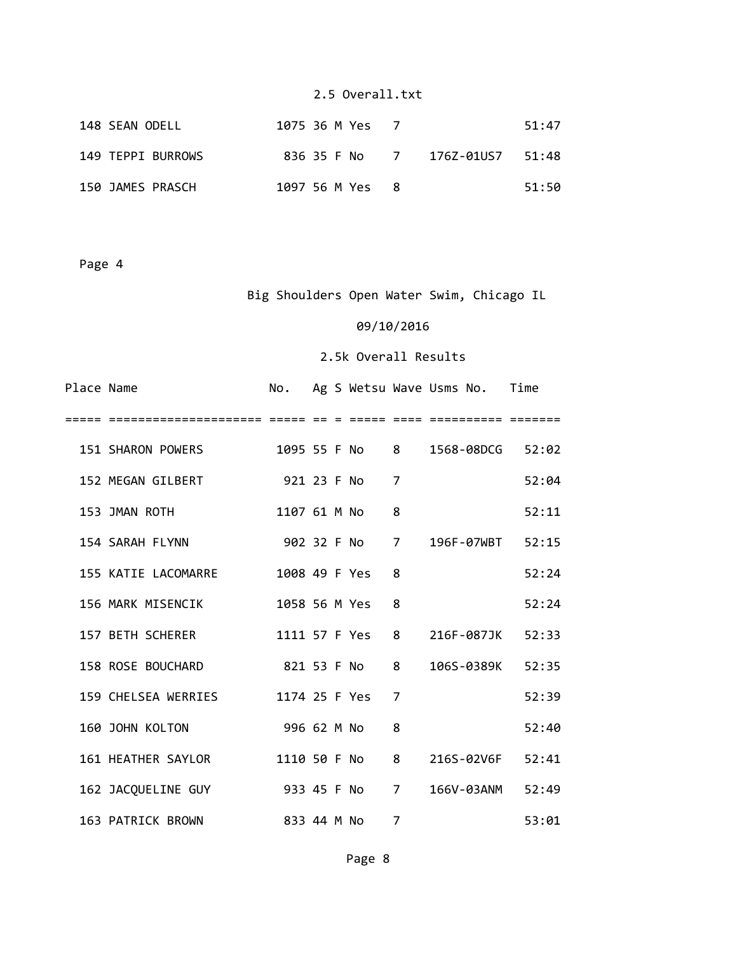| 148 SEAN ODELL    | 1075 36 M Yes 7                |  | 51:47 |
|-------------------|--------------------------------|--|-------|
| 149 TEPPI BURROWS | 836 35 F No 7 176Z-01US7 51:48 |  |       |
| 150 JAMES PRASCH  | 1097 56 M Yes 8                |  | 51:50 |

Page 4

# Big Shoulders Open Water Swim, Chicago IL

#### 09/10/2016

| Place Name |                                |             |  |                |                | No. Ag S Wetsu Wave Usms No. Time |       |
|------------|--------------------------------|-------------|--|----------------|----------------|-----------------------------------|-------|
|            |                                |             |  |                |                |                                   |       |
|            | 151 SHARON POWERS              |             |  |                |                | 1095 55 F No 8 1568-08DCG 52:02   |       |
|            | 152 MEGAN GILBERT              | 921 23 F No |  |                | 7              |                                   | 52:04 |
|            | 153 JMAN ROTH                  |             |  | 1107 61 M No   | 8              |                                   | 52:11 |
|            | 154 SARAH FLYNN                |             |  |                |                | 902 32 F No 7 196F-07WBT 52:15    |       |
|            | 155 KATIE LACOMARRE            |             |  | 1008 49 F Yes  | 8              |                                   | 52:24 |
|            | 156 MARK MISENCIK              |             |  | 1058 56 M Yes  | 8              |                                   | 52:24 |
|            | 157 BETH SCHERER               |             |  | 1111 57 F Yes  | 8              | 216F-087JK                        | 52:33 |
|            | 158 ROSE BOUCHARD              | 821 53 F No |  |                | $8 -$          | 106S-0389K 52:35                  |       |
|            | 159 CHELSEA WERRIES            |             |  | 1174 25 F Yes  | 7              |                                   | 52:39 |
|            | 160 JOHN KOLTON                | 996 62 M No |  |                | 8              |                                   | 52:40 |
|            | 161 HEATHER SAYLOR             |             |  | 1110 50 F No 8 |                | 216S-02V6F                        | 52:41 |
|            | 162 JACQUELINE GUY 933 45 F No |             |  |                | $\overline{7}$ | 166V-03ANM                        | 52:49 |
|            | 163 PATRICK BROWN              | 833 44 M No |  |                | 7              |                                   | 53:01 |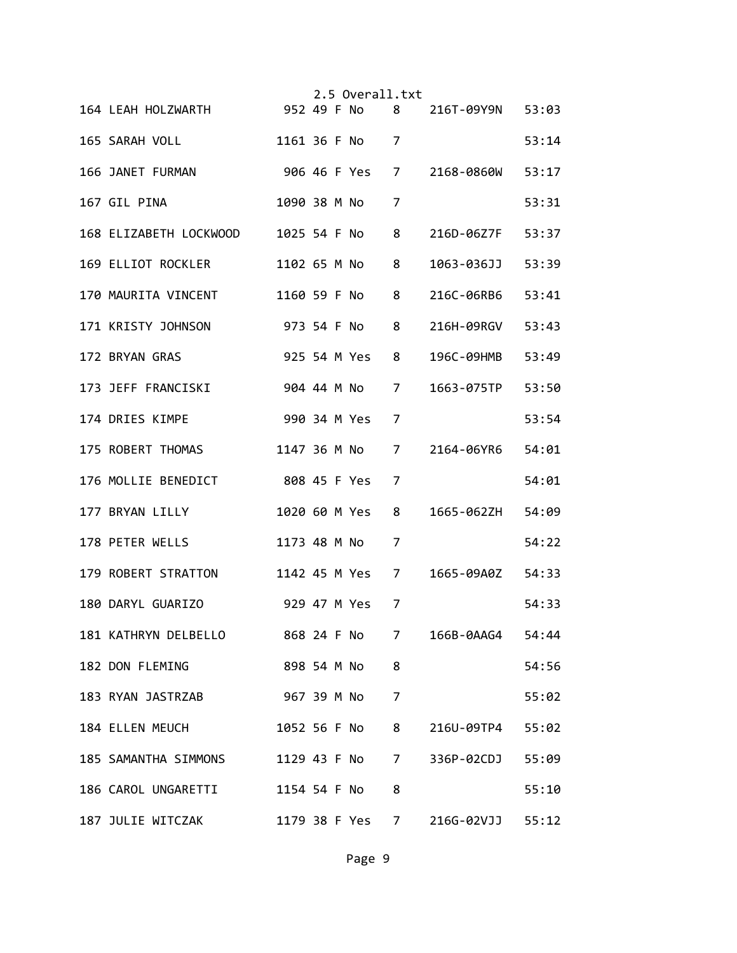|  |                                                   |              |  | 2.5 Overall.txt |                |                  |       |
|--|---------------------------------------------------|--------------|--|-----------------|----------------|------------------|-------|
|  | 164 LEAH HOLZWARTH 952 49 F No 8 216T-09Y9N 53:03 |              |  |                 |                |                  |       |
|  | 165 SARAH VOLL <b>Andrew State</b>                |              |  | 1161 36 F No 7  |                |                  | 53:14 |
|  | 166 JANET FURMAN                                  |              |  | 906 46 F Yes 7  |                | 2168-0860W       | 53:17 |
|  | 167 GIL PINA                                      |              |  | 1090 38 M No    | 7              |                  | 53:31 |
|  | 168 ELIZABETH LOCKWOOD 1025 54 F No               |              |  |                 | 8              | 216D-06Z7F       | 53:37 |
|  | 169 ELLIOT ROCKLER                                |              |  | 1102 65 M No    | 8              | 1063-036JJ       | 53:39 |
|  | 170 MAURITA VINCENT                               | 1160 59 F No |  |                 | 8              | 216C-06RB6 53:41 |       |
|  | 973 54 F No 8<br>171 KRISTY JOHNSON               |              |  |                 |                | 216H-09RGV 53:43 |       |
|  | 172 BRYAN GRAS                                    |              |  | 925 54 M Yes 8  |                | 196C-09HMB 53:49 |       |
|  | 173 JEFF FRANCISKI                                |              |  | 904 44 M No 7   |                | 1663-075TP       | 53:50 |
|  | 174 DRIES KIMPE                                   |              |  | 990 34 M Yes    | 7              |                  | 53:54 |
|  | 175 ROBERT THOMAS                                 |              |  | 1147 36 M No    | 7              | 2164-06YR6 54:01 |       |
|  | 176 MOLLIE BENEDICT 808 45 F Yes                  |              |  |                 | 7              |                  | 54:01 |
|  | 177 BRYAN LILLY                                   |              |  | 1020 60 M Yes   | 8              | 1665-062ZH 54:09 |       |
|  | 178 PETER WELLS                                   |              |  | 1173 48 M No 7  |                |                  | 54:22 |
|  | 179 ROBERT STRATTON 1142 45 M Yes 7               |              |  |                 |                | 1665-09A0Z 54:33 |       |
|  |                                                   |              |  |                 | 7              |                  | 54:33 |
|  | 181 KATHRYN DELBELLO                              |              |  | 868 24 F No 7   |                | 166B-0AAG4 54:44 |       |
|  | 182 DON FLEMING<br>898 54 M No                    |              |  |                 | 8              |                  | 54:56 |
|  | 183 RYAN JASTRZAB                                 |              |  | 967 39 M No     | $\overline{7}$ |                  | 55:02 |
|  | 184 ELLEN MEUCH                                   |              |  | 1052 56 F No    | 8              | 216U-09TP4 55:02 |       |
|  | 185 SAMANTHA SIMMONS                              |              |  | 1129 43 F No    | 7              | 336P-02CDJ       | 55:09 |
|  | 186 CAROL UNGARETTI                               |              |  | 1154 54 F No    | 8              |                  | 55:10 |
|  | 187 JULIE WITCZAK                                 |              |  | 1179 38 F Yes   | 7              | 216G-02VJJ 55:12 |       |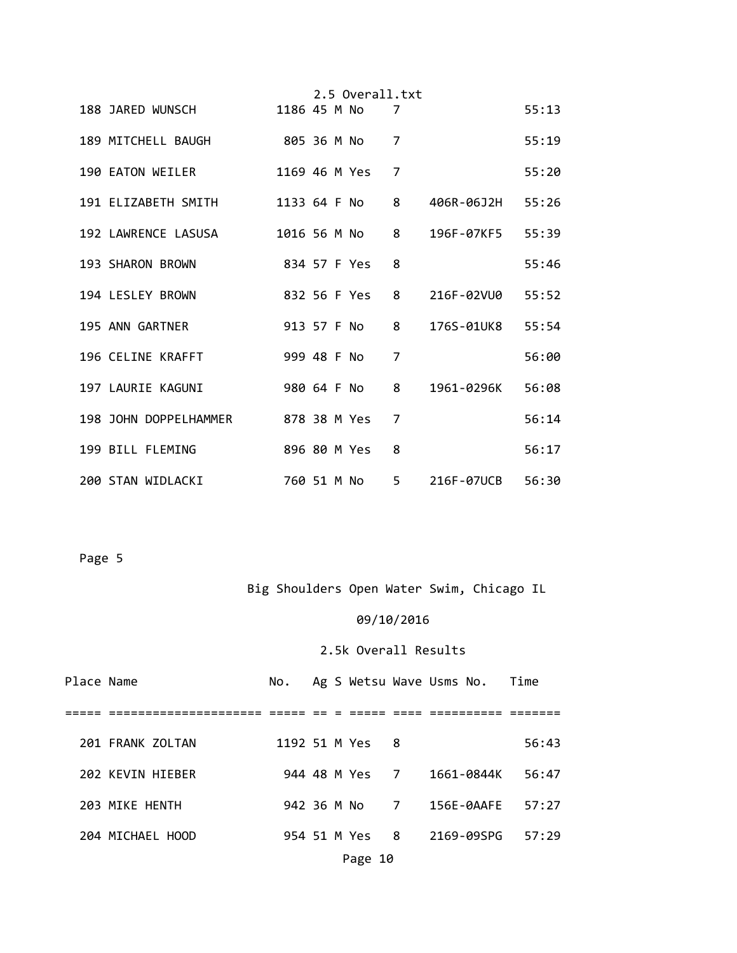|                                              |              |             | 2.5 Overall.txt |                |                    |       |
|----------------------------------------------|--------------|-------------|-----------------|----------------|--------------------|-------|
| 188 JARED WUNSCH                             | 1186 45 M No |             |                 | 7              |                    | 55:13 |
| 189 MITCHELL BAUGH                           |              |             | 805 36 M No     | $\overline{7}$ |                    | 55:19 |
| 190 EATON WEILER                             |              |             | 1169 46 M Yes   | 7              |                    | 55:20 |
| 191 ELIZABETH SMITH                          |              |             | 1133 64 F No 8  |                | 406R-06J2H 55:26   |       |
| 192 LAWRENCE LASUSA                          |              |             | 1016 56 M No 8  |                | 196F-07KF5 55:39   |       |
| 193 SHARON BROWN                             |              |             | 834 57 F Yes    | 8              |                    | 55:46 |
| 194 LESLEY BROWN                             |              |             | 832 56 F Yes    | 8              | 216F-02VU0 55:52   |       |
| 195 ANN GARTNER                              |              |             | 913 57 F No     | $8 -$          | 176S-01UK8 55:54   |       |
| 196 CELINE KRAFFT                            |              | 999 48 F No |                 | $\overline{7}$ |                    | 56:00 |
| 197 LAURIE KAGUNI                            |              |             | 980 64 F No 8   |                | 1961-0296K 56:08   |       |
| 198 JOHN DOPPELHAMMER           878 38 M Yes |              |             |                 | $\overline{7}$ |                    | 56:14 |
| 199 BILL FLEMING                             |              |             | 896 80 M Yes    | 8              |                    | 56:17 |
| 200 STAN WIDLACKI                            |              |             | 760 51 M No     |                | 5 216F-07UCB 56:30 |       |

# Big Shoulders Open Water Swim, Chicago IL

# 09/10/2016

| Place Name |                  |  |                 | No. Ag S Wetsu Wave Usms No. Time |       |
|------------|------------------|--|-----------------|-----------------------------------|-------|
|            |                  |  |                 |                                   |       |
|            | 201 FRANK ZOLTAN |  | 1192 51 M Yes 8 |                                   | 56:43 |
|            | 202 KEVIN HIEBER |  |                 | 944 48 M Yes 7 1661-0844K         | 56:47 |
|            | 203 MIKE HENTH   |  |                 | 942 36 M No 7 156E-0AAFE 57:27    |       |
|            | 204 MICHAEL HOOD |  | 954 51 M Yes 8  | 2169-09SPG                        | 57:29 |
|            |                  |  | Page 10         |                                   |       |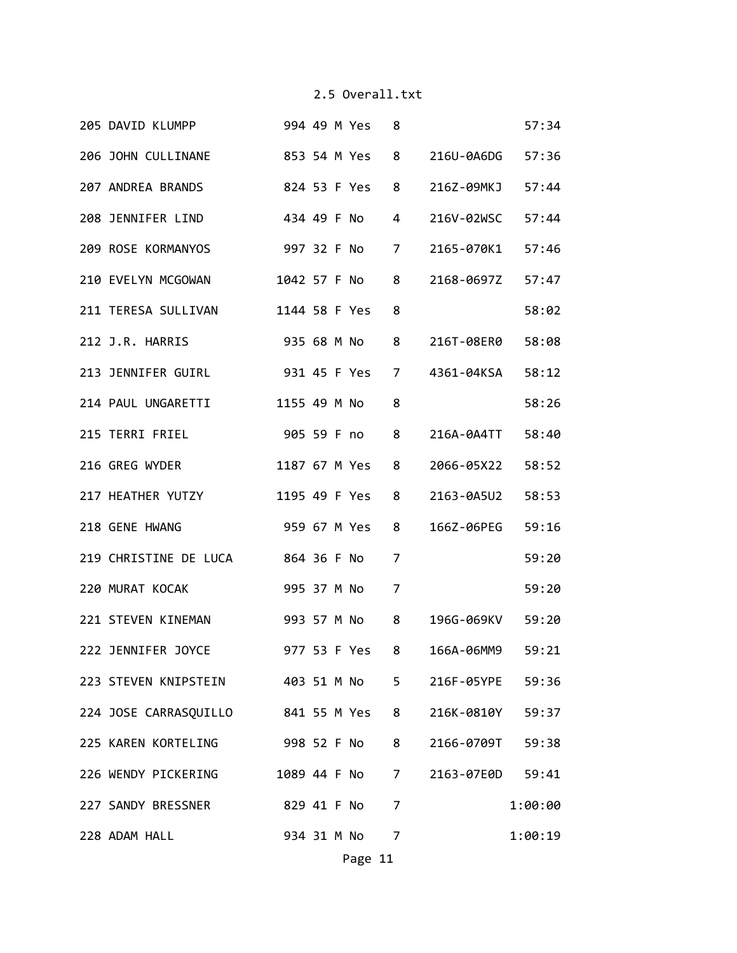| 205 DAVID KLUMPP                                    | 994 49 M Yes  | 8              |                           | 57:34   |
|-----------------------------------------------------|---------------|----------------|---------------------------|---------|
| 206 JOHN CULLINANE 853 54 M Yes                     |               | 8              | 216U-0A6DG 57:36          |         |
| 207 ANDREA BRANDS 824 53 F Yes                      |               | 8              | 216Z-09MKJ 57:44          |         |
| 208 JENNIFER LIND 434 49 F No                       |               | 4              | 216V-02WSC                | 57:44   |
| 209 ROSE KORMANYOS                                  | 997 32 F No   | $\overline{7}$ | 2165-070K1 57:46          |         |
| 210 EVELYN MCGOWAN                                  | 1042 57 F No  | 8              | 2168-0697Z 57:47          |         |
| 211 TERESA SULLIVAN                                 | 1144 58 F Yes | 8              |                           | 58:02   |
| 212 J.R. HARRIS                                     | 935 68 M No 8 |                | 216T-08ER0 58:08          |         |
| 213 JENNIFER GUIRL 931 45 F Yes                     |               | 7              | 4361-04KSA 58:12          |         |
| 214 PAUL UNGARETTI 1155 49 M No                     |               | 8              |                           | 58:26   |
|                                                     |               | 8              | 216A-0A4TT 58:40          |         |
| 216 GREG WYDER                                      | 1187 67 M Yes | 8              | 2066-05X22 58:52          |         |
| 217 HEATHER YUTZY                                   | 1195 49 F Yes | 8              | 2163-0A5U2 58:53          |         |
| 218 GENE HWANG                                      | 959 67 M Yes  | 8              | 166Z-06PEG 59:16          |         |
| 219 CHRISTINE DE LUCA 864 36 F No                   |               | 7              |                           | 59:20   |
| 220 MURAT KOCAK                                     | 995 37 M No   | $\overline{7}$ |                           | 59:20   |
| 221 STEVEN KINEMAN 993 57 M No 8                    |               |                | 196G-069KV 59:20          |         |
| 222 JENNIFER JOYCE                                  |               |                | 977 53 F Yes 8 166A-06MM9 | 59:21   |
| 223 STEVEN KNIPSTEIN 403 51 M No 5 216F-05YPE 59:36 |               |                |                           |         |
| 224 JOSE CARRASQUILLO 841 55 M Yes 8                |               |                | 216K-0810Y 59:37          |         |
| 225 KAREN KORTELING 998 52 F No 8                   |               |                | 2166-0709T 59:38          |         |
| 226 WENDY PICKERING 1089 44 F No 7 2163-07E0D 59:41 |               |                |                           |         |
| 227 SANDY BRESSNER 829 41 F No 7                    |               |                |                           | 1:00:00 |
| 228 ADAM HALL                                       | 934 31 M No 7 |                |                           | 1:00:19 |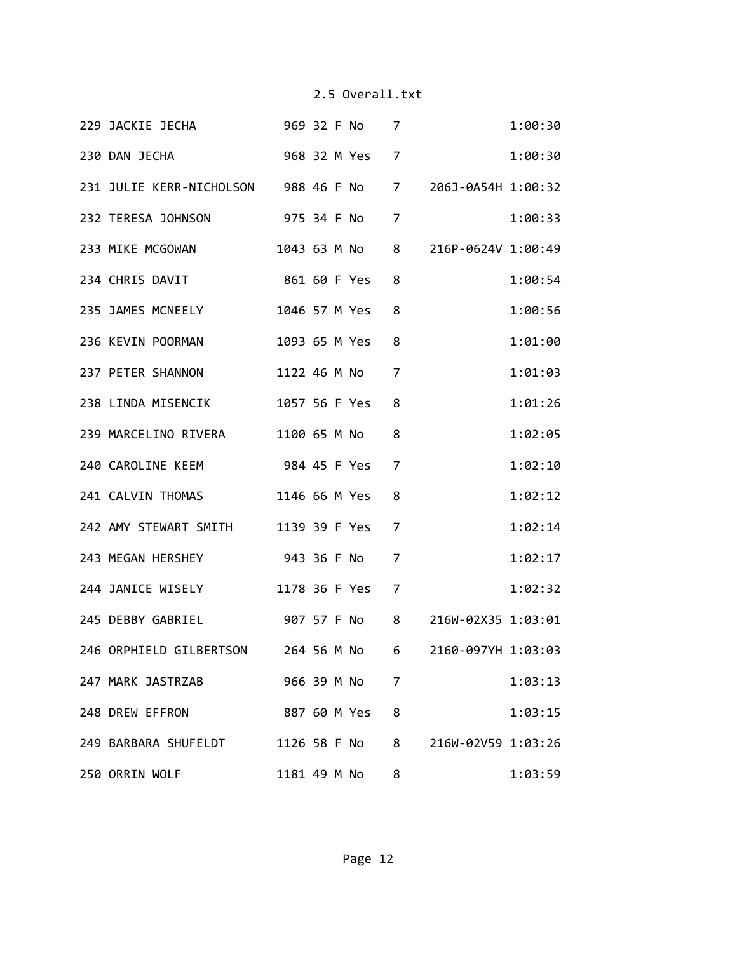|  | 229 JACKIE JECHA 969 32 F No 7                            |  |                 |                |                    | 1:00:30 |
|--|-----------------------------------------------------------|--|-----------------|----------------|--------------------|---------|
|  | 230 DAN JECHA 968 32 M Yes 7                              |  |                 |                |                    | 1:00:30 |
|  | 231 JULIE KERR-NICHOLSON 988 46 F No 7 206J-0A54H 1:00:32 |  |                 |                |                    |         |
|  | 232 TERESA JOHNSON 975 34 F No 7                          |  |                 |                |                    | 1:00:33 |
|  | 233 MIKE MCGOWAN 1043 63 M No 8 216P-0624V 1:00:49        |  |                 |                |                    |         |
|  | 234 CHRIS DAVIT 861 60 F Yes                              |  |                 | 8              |                    | 1:00:54 |
|  | 235 JAMES MCNEELY 1046 57 M Yes                           |  |                 | 8              |                    | 1:00:56 |
|  | 236 KEVIN POORMAN                                         |  | 1093 65 M Yes 8 |                |                    | 1:01:00 |
|  | 237 PETER SHANNON                                         |  | 1122 46 M No 7  |                |                    | 1:01:03 |
|  | 238 LINDA MISENCIK 1057 56 F Yes                          |  |                 | 8              |                    | 1:01:26 |
|  | 239 MARCELINO RIVERA 1100 65 M No                         |  |                 | 8              |                    | 1:02:05 |
|  | 240 CAROLINE KEEM 984 45 F Yes                            |  |                 | 7              |                    | 1:02:10 |
|  | 241 CALVIN THOMAS 1146 66 M Yes                           |  |                 | 8              |                    | 1:02:12 |
|  | 242 AMY STEWART SMITH 1139 39 F Yes 7                     |  |                 |                |                    | 1:02:14 |
|  | 243 MEGAN HERSHEY 943 36 F No 7                           |  |                 |                |                    | 1:02:17 |
|  | 244 JANICE WISELY 1178 36 F Yes                           |  |                 | $\overline{7}$ |                    | 1:02:32 |
|  | 245 DEBBY GABRIEL 907 57 F No 8 216W-02X35 1:03:01        |  |                 |                |                    |         |
|  | 246 ORPHIELD GILBERTSON 264 56 M No 6 2160-097YH 1:03:03  |  |                 |                |                    |         |
|  | 247 MARK JASTRZAB 966 39 M No 7                           |  |                 |                |                    | 1:03:13 |
|  | 248 DREW EFFRON                                           |  | 887 60 M Yes    | 8              |                    | 1:03:15 |
|  | 249 BARBARA SHUFELDT 1126 58 F No 8                       |  |                 |                | 216W-02V59 1:03:26 |         |
|  | 250 ORRIN WOLF                                            |  | 1181 49 M No    | 8              |                    | 1:03:59 |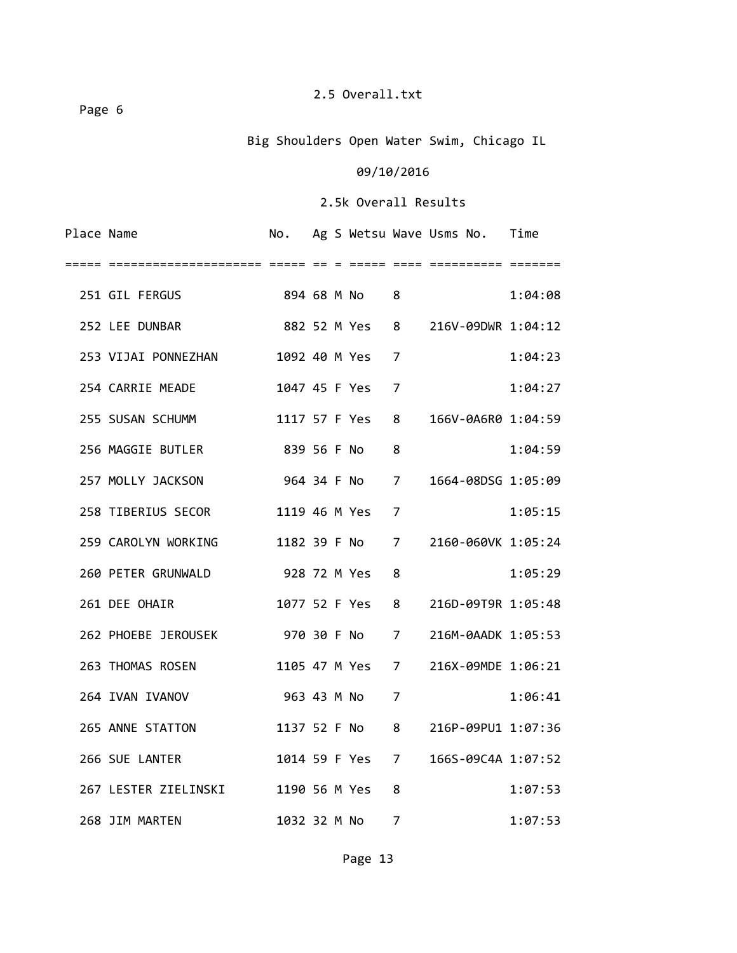Page 6

# Big Shoulders Open Water Swim, Chicago IL

# 09/10/2016

| Place Name |                                    |                |  |                 |                | No. Ag S Wetsu Wave Usms No. Time |         |
|------------|------------------------------------|----------------|--|-----------------|----------------|-----------------------------------|---------|
| =====      |                                    |                |  |                 |                |                                   |         |
|            | 251 GIL FERGUS 894 68 M No 8       |                |  |                 |                |                                   | 1:04:08 |
|            | 252 LEE DUNBAR                     | 882 52 M Yes 8 |  |                 |                | 216V-09DWR 1:04:12                |         |
|            | 253 VIJAI PONNEZHAN                |                |  | 1092 40 M Yes   | 7              |                                   | 1:04:23 |
|            | 254 CARRIE MEADE                   |                |  | 1047 45 F Yes   | 7              |                                   | 1:04:27 |
|            | 255 SUSAN SCHUMM                   |                |  | 1117 57 F Yes   | 8              | 166V-0A6R0 1:04:59                |         |
|            | 256 MAGGIE BUTLER                  | 839 56 F No 8  |  |                 |                |                                   | 1:04:59 |
|            | 964 34 F No 7<br>257 MOLLY JACKSON |                |  |                 |                | 1664-08DSG 1:05:09                |         |
|            | 258 TIBERIUS SECOR                 |                |  | 1119 46 M Yes 7 |                |                                   | 1:05:15 |
|            | 259 CAROLYN WORKING                |                |  | 1182 39 F No 7  |                | 2160-060VK 1:05:24                |         |
|            | 260 PETER GRUNWALD 928 72 M Yes    |                |  |                 | 8              |                                   | 1:05:29 |
|            | 261 DEE OHAIR                      |                |  | 1077 52 F Yes 8 |                | 216D-09T9R 1:05:48                |         |
|            | 262 PHOEBE JEROUSEK 970 30 F No 7  |                |  |                 |                | 216M-0AADK 1:05:53                |         |
|            | 263 THOMAS ROSEN                   |                |  | 1105 47 M Yes 7 |                | 216X-09MDE 1:06:21                |         |
|            | 264 IVAN IVANOV                    |                |  | 963 43 M No     | $\overline{7}$ |                                   | 1:06:41 |
|            | 265 ANNE STATTON                   |                |  | 1137 52 F No 8  |                | 216P-09PU1 1:07:36                |         |
|            | 266 SUE LANTER                     |                |  | 1014 59 F Yes 7 |                | 166S-09C4A 1:07:52                |         |
|            | 267 LESTER ZIELINSKI               |                |  | 1190 56 M Yes   | 8              |                                   | 1:07:53 |
|            | 268 JIM MARTEN                     |                |  | 1032 32 M No    | $\overline{7}$ |                                   | 1:07:53 |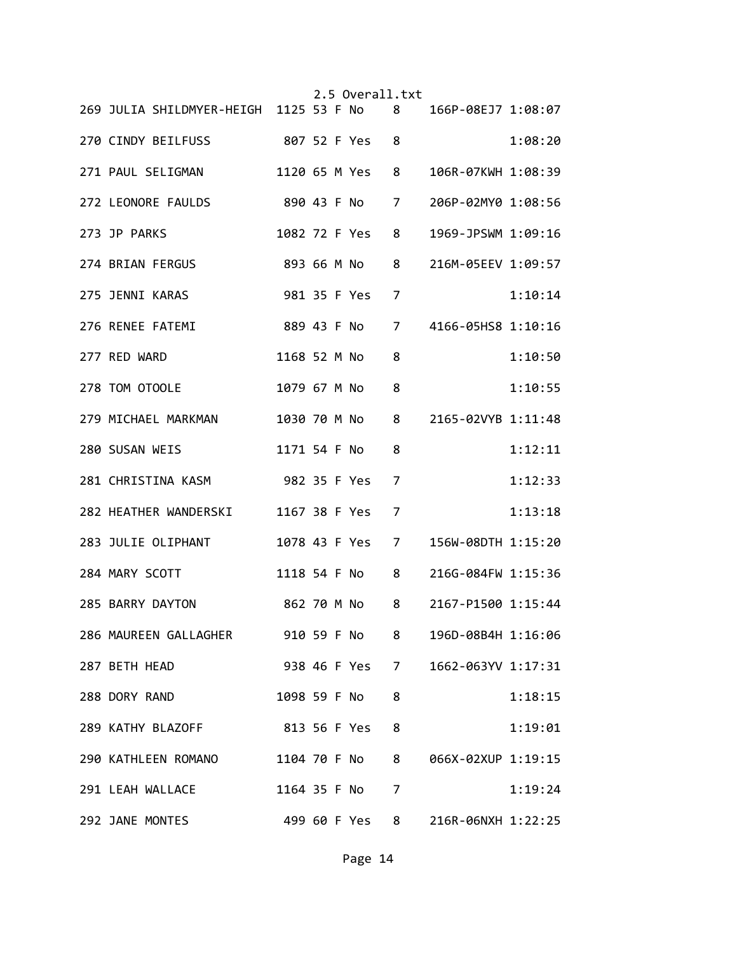|  |                                                             |              |  | 2.5 Overall.txt |                |                                  |         |
|--|-------------------------------------------------------------|--------------|--|-----------------|----------------|----------------------------------|---------|
|  | 269 JULIA SHILDMYER-HEIGH 1125 53 F No 8 166P-08EJ7 1:08:07 |              |  |                 |                |                                  |         |
|  | 270 CINDY BEILFUSS                                          |              |  | 807 52 F Yes    | 8              |                                  | 1:08:20 |
|  | 271 PAUL SELIGMAN                                           |              |  | 1120 65 M Yes   | 8              | 106R-07KWH 1:08:39               |         |
|  | 272 LEONORE FAULDS 890 43 F No                              |              |  |                 | 7              | 206P-02MY0 1:08:56               |         |
|  | 273 JP PARKS                                                |              |  | 1082 72 F Yes   | 8              | 1969-JPSWM 1:09:16               |         |
|  | 893 66 M No<br>274 BRIAN FERGUS                             |              |  |                 | 8              | 216M-05EEV 1:09:57               |         |
|  | 981 35 F Yes<br>275 JENNI KARAS                             |              |  |                 | 7              |                                  | 1:10:14 |
|  | 276 RENEE FATEMI                                            |              |  |                 |                | 889 43 F No 7 4166-05HS8 1:10:16 |         |
|  | 277 RED WARD                                                |              |  | 1168 52 M No    | 8              |                                  | 1:10:50 |
|  | 278 TOM OTOOLE                                              | 1079 67 M No |  |                 | 8              |                                  | 1:10:55 |
|  | 279 MICHAEL MARKMAN                                         | 1030 70 M No |  |                 |                | 8 2165-02VYB 1:11:48             |         |
|  | 280 SUSAN WEIS                                              | 1171 54 F No |  |                 | 8              |                                  | 1:12:11 |
|  | 281 CHRISTINA KASM 982 35 F Yes                             |              |  |                 | 7              |                                  | 1:12:33 |
|  | 282 HEATHER WANDERSKI 1167 38 F Yes                         |              |  |                 | $\overline{7}$ |                                  | 1:13:18 |
|  | 283 JULIE OLIPHANT                                          |              |  | 1078 43 F Yes 7 |                | 156W-08DTH 1:15:20               |         |
|  | 284 MARY SCOTT                                              |              |  | 1118 54 F No 8  |                | 216G-084FW 1:15:36               |         |
|  | 285 BARRY DAYTON 862 70 M No                                |              |  |                 | 8              | 2167-P1500 1:15:44               |         |
|  | 286 MAUREEN GALLAGHER 910 59 F No 8                         |              |  |                 |                | 196D-08B4H 1:16:06               |         |
|  | 287 BETH HEAD                                               |              |  | 938 46 F Yes 7  |                | 1662-063YV 1:17:31               |         |
|  | 288 DORY RAND                                               |              |  | 1098 59 F No    | 8              |                                  | 1:18:15 |
|  | 289 KATHY BLAZOFF 813 56 F Yes                              |              |  |                 | 8              |                                  | 1:19:01 |
|  | 290 KATHLEEN ROMANO                                         |              |  | 1104 70 F No    | 8              | 066X-02XUP 1:19:15               |         |
|  | 291 LEAH WALLACE                                            |              |  | 1164 35 F No    | $\overline{7}$ |                                  | 1:19:24 |
|  | 292 JANE MONTES                                             |              |  | 499 60 F Yes    | 8              | 216R-06NXH 1:22:25               |         |